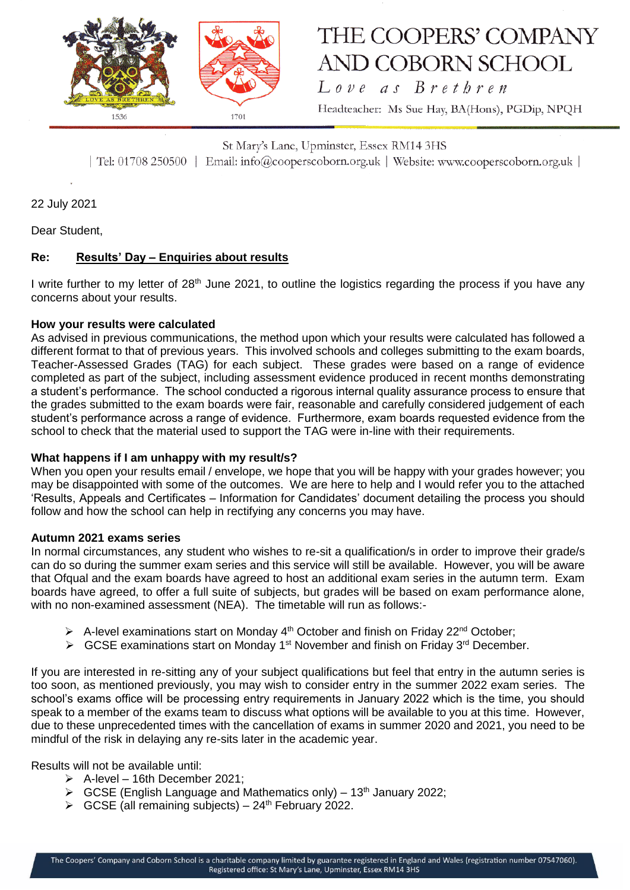

## THE COOPERS' COMPANY **AND COBORN SCHOOL**

Love as Brethren Headteacher: Ms Sue Hay, BA(Hons), PGDip, NPQH

St Mary's Lane, Upminster, Essex RM14 3HS | Tel: 01708 250500 | Email: info@cooperscoborn.org.uk | Website: www.cooperscoborn.org.uk |

22 July 2021

Dear Student,

### **Re: Results' Day – Enquiries about results**

I write further to my letter of 28<sup>th</sup> June 2021, to outline the logistics regarding the process if you have any concerns about your results.

#### **How your results were calculated**

As advised in previous communications, the method upon which your results were calculated has followed a different format to that of previous years. This involved schools and colleges submitting to the exam boards, Teacher-Assessed Grades (TAG) for each subject. These grades were based on a range of evidence completed as part of the subject, including assessment evidence produced in recent months demonstrating a student's performance. The school conducted a rigorous internal quality assurance process to ensure that the grades submitted to the exam boards were fair, reasonable and carefully considered judgement of each student's performance across a range of evidence. Furthermore, exam boards requested evidence from the school to check that the material used to support the TAG were in-line with their requirements.

#### **What happens if I am unhappy with my result/s?**

When you open your results email / envelope, we hope that you will be happy with your grades however; you may be disappointed with some of the outcomes. We are here to help and I would refer you to the attached 'Results, Appeals and Certificates – Information for Candidates' document detailing the process you should follow and how the school can help in rectifying any concerns you may have.

#### **Autumn 2021 exams series**

In normal circumstances, any student who wishes to re-sit a qualification/s in order to improve their grade/s can do so during the summer exam series and this service will still be available. However, you will be aware that Ofqual and the exam boards have agreed to host an additional exam series in the autumn term. Exam boards have agreed, to offer a full suite of subjects, but grades will be based on exam performance alone, with no non-examined assessment (NEA). The timetable will run as follows:-

- A-level examinations start on Monday  $4<sup>th</sup>$  October and finish on Friday 22<sup>nd</sup> October;
- $\triangleright$  GCSE examinations start on Monday 1<sup>st</sup> November and finish on Friday 3<sup>rd</sup> December.

If you are interested in re-sitting any of your subject qualifications but feel that entry in the autumn series is too soon, as mentioned previously, you may wish to consider entry in the summer 2022 exam series. The school's exams office will be processing entry requirements in January 2022 which is the time, you should speak to a member of the exams team to discuss what options will be available to you at this time. However, due to these unprecedented times with the cancellation of exams in summer 2020 and 2021, you need to be mindful of the risk in delaying any re-sits later in the academic year.

Results will not be available until:

- $\triangleright$  A-level 16th December 2021;
- $\triangleright$  GCSE (English Language and Mathematics only) 13<sup>th</sup> January 2022;
- $\triangleright$  GCSE (all remaining subjects) 24<sup>th</sup> February 2022.